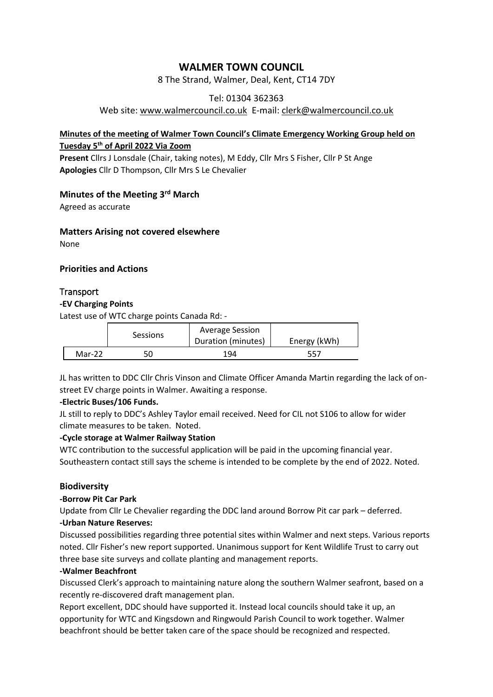# **WALMER TOWN COUNCIL**

8 The Strand, Walmer, Deal, Kent, CT14 7DY

## Tel: 01304 362363

Web site: [www.walmercouncil.co.uk](http://www.walmercouncil.co.uk/) E-mail: clerk@walmercouncil.co.uk

## **Minutes of the meeting of Walmer Town Council's Climate Emergency Working Group held on Tuesday 5th of April 2022 Via Zoom**

**Present** Cllrs J Lonsdale (Chair, taking notes), M Eddy, Cllr Mrs S Fisher, Cllr P St Ange **Apologies** Cllr D Thompson, Cllr Mrs S Le Chevalier

# **Minutes of the Meeting 3 rd March**

Agreed as accurate

#### **Matters Arising not covered elsewhere**

None

## **Priorities and Actions**

## **Transport**

#### **-EV Charging Points**

Latest use of WTC charge points Canada Rd: -

|        | <b>Sessions</b> | <b>Average Session</b><br>Duration (minutes) | Energy (kWh) |
|--------|-----------------|----------------------------------------------|--------------|
| Mar-22 | 50              | 194                                          | 557          |

JL has written to DDC Cllr Chris Vinson and Climate Officer Amanda Martin regarding the lack of onstreet EV charge points in Walmer. Awaiting a response.

#### **-Electric Buses/106 Funds.**

JL still to reply to DDC's Ashley Taylor email received. Need for CIL not S106 to allow for wider climate measures to be taken. Noted.

#### **-Cycle storage at Walmer Railway Station**

WTC contribution to the successful application will be paid in the upcoming financial year. Southeastern contact still says the scheme is intended to be complete by the end of 2022. Noted.

#### **Biodiversity**

#### **-Borrow Pit Car Park**

Update from Cllr Le Chevalier regarding the DDC land around Borrow Pit car park – deferred. **-Urban Nature Reserves:**

Discussed possibilities regarding three potential sites within Walmer and next steps. Various reports noted. Cllr Fisher's new report supported. Unanimous support for Kent Wildlife Trust to carry out three base site surveys and collate planting and management reports.

#### **-Walmer Beachfront**

Discussed Clerk's approach to maintaining nature along the southern Walmer seafront, based on a recently re-discovered draft management plan.

Report excellent, DDC should have supported it. Instead local councils should take it up, an opportunity for WTC and Kingsdown and Ringwould Parish Council to work together. Walmer beachfront should be better taken care of the space should be recognized and respected.